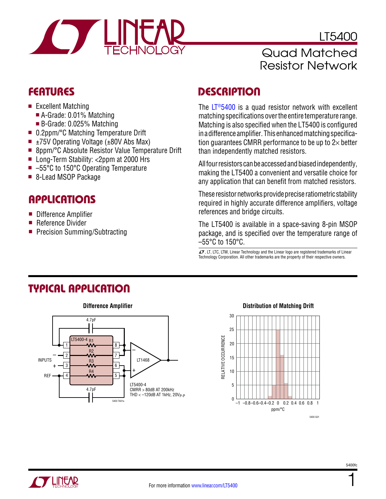

LT5400 Quad Matched Resistor Network

- $\blacksquare$  Excellent Matching
	- A-Grade: 0.01% Matching
	- $\blacksquare$  B-Grade: 0.025% Matching
- 0.2ppm/°C Matching Temperature Drift
- $\blacksquare$  ±75V Operating Voltage (±80V Abs Max)
- 8ppm/°C Absolute Resistor Value Temperature Drift
- Long-Term Stability: <2ppm at 2000 Hrs
- $\blacksquare$  –55°C to 150°C Operating Temperature
- 8-Lead MSOP Package

### Applications

- **n** Difference Amplifier
- $\blacksquare$  Reference Divider
- Precision Summing/Subtracting

### FEATURES DESCRIPTION

The  $LT<sup>®</sup>5400$  is a quad resistor network with excellent matching specifications over the entire temperature range. Matching is also specified when the LT5400 is configured in a difference amplifier. This enhanced matching specification guarantees CMRR performance to be up to  $2\times$  better than independently matched resistors.

All four resistors can be accessed and biased independently, making the LT5400 a convenient and versatile choice for any application that can benefit from matched resistors.

These resistor networks provide precise ratiometric stability required in highly accurate difference amplifiers, voltage references and bridge circuits.

The LT5400 is available in a space-saving 8-pin MSOP package, and is specified over the temperature range of –55°C to 150°C.

 $\sqrt{27}$ , LT, LTC, LTM, Linear Technology and the Linear logo are registered trademarks of Linear Technology Corporation. All other trademarks are the property of their respective owners.

# Typical Application



### **Distribution of Matching Drift**



1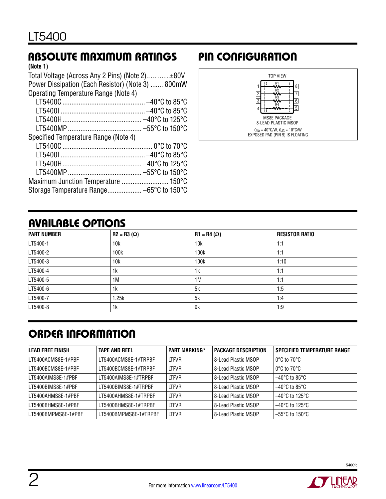# Absolute Maximum Ratings Pin Configuration

### **(Note 1)**

| Total Voltage (Across Any 2 Pins) (Note 2)±80V    |  |
|---------------------------------------------------|--|
| Power Dissipation (Each Resistor) (Note 3)  800mW |  |
| Operating Temperature Range (Note 4)              |  |
|                                                   |  |
|                                                   |  |
|                                                   |  |
|                                                   |  |
| Specified Temperature Range (Note 4)              |  |
|                                                   |  |
|                                                   |  |
|                                                   |  |
|                                                   |  |
| Maximum Junction Temperature  150°C               |  |
| Storage Temperature Range -65°C to 150°C          |  |



# Available Options

| <b>PART NUMBER</b> | $R2 = R3 (\Omega)$ | $R1 = R4 (\Omega)$ | <b>RESISTOR RATIO</b> |
|--------------------|--------------------|--------------------|-----------------------|
| LT5400-1           | 10k                | 10k                | 1:1                   |
| LT5400-2           | 100k               | 100k               | 1:1                   |
| LT5400-3           | 10k                | 100k               | 1:10                  |
| LT5400-4           | 1k                 | 1k                 | 1:1                   |
| LT5400-5           | 1M                 | 1M                 | 1:1                   |
| LT5400-6           | 1k                 | 5k                 | 1:5                   |
| LT5400-7           | 1.25k              | 5k                 | 1:4                   |
| LT5400-8           | 1k                 | 9k                 | 1:9                   |

# Order Information

| <b>LEAD FREE FINISH</b> | <b>TAPE AND REEL</b>  | <b>PART MARKING*</b> | <b>PACKAGE DESCRIPTION</b> | <b>SPECIFIED TEMPERATURE RANGE</b> |
|-------------------------|-----------------------|----------------------|----------------------------|------------------------------------|
| LT5400ACMS8E-1#PBF      | LT5400ACMS8E-1#TRPBF  | <b>LTFVR</b>         | 8-Lead Plastic MSOP        | $0^{\circ}$ C to 70 $^{\circ}$ C   |
| LT5400BCMS8E-1#PBF      | LT5400BCMS8E-1#TRPBF  | <b>LTFVR</b>         | 8-Lead Plastic MSOP        | $0^{\circ}$ C to 70 $^{\circ}$ C   |
| LT5400AIMS8E-1#PBF      | LT5400AIMS8E-1#TRPBF  | <b>LTFVR</b>         | 8-Lead Plastic MSOP        | $-40^{\circ}$ C to 85 $^{\circ}$ C |
| LT5400BIMS8E-1#PBF      | LT5400BIMS8E-1#TRPBF  | <b>LTFVR</b>         | 8-Lead Plastic MSOP        | $-40^{\circ}$ C to 85°C            |
| LT5400AHMS8E-1#PBF      | IT5400AHMS8F-1#TRPBF  | <b>LTFVR</b>         | 8-Lead Plastic MSOP        | $-40^{\circ}$ C to 125°C.          |
| LT5400BHMS8E-1#PBF      | LT5400BHMS8E-1#TRPBF  | <b>LTFVR</b>         | 8-Lead Plastic MSOP        | $-40^{\circ}$ C to 125°C           |
| LT5400BMPMS8E-1#PBF     | LT5400BMPMS8E-1#TRPBF | <b>LTFVR</b>         | 8-Lead Plastic MSOP        | $-55^{\circ}$ C to 150°C           |

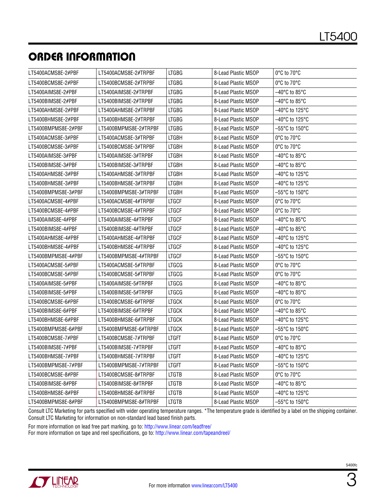# ORDER INFORMATION

| LT5400ACMS8E-2#PBF  | LT5400ACMS8E-2#TRPBF  | <b>LTGBG</b> | 8-Lead Plastic MSOP | 0°C to 70°C                         |
|---------------------|-----------------------|--------------|---------------------|-------------------------------------|
| LT5400BCMS8E-2#PBF  | LT5400BCMS8E-2#TRPBF  | <b>LTGBG</b> | 8-Lead Plastic MSOP | 0°C to 70°C                         |
| LT5400AIMS8E-2#PBF  | LT5400AIMS8E-2#TRPBF  | <b>LTGBG</b> | 8-Lead Plastic MSOP | $-40^{\circ}$ C to 85 $^{\circ}$ C  |
| LT5400BIMS8E-2#PBF  | LT5400BIMS8E-2#TRPBF  | <b>LTGBG</b> | 8-Lead Plastic MSOP | –40°C to 85°C                       |
| LT5400AHMS8E-2#PBF  | LT5400AHMS8E-2#TRPBF  | <b>LTGBG</b> | 8-Lead Plastic MSOP | $-40^{\circ}$ C to 125 $^{\circ}$ C |
| LT5400BHMS8E-2#PBF  | LT5400BHMS8E-2#TRPBF  | <b>LTGBG</b> | 8-Lead Plastic MSOP | $-40^{\circ}$ C to 125 $^{\circ}$ C |
| LT5400BMPMS8E-2#PBF | LT5400BMPMS8E-2#TRPBF | <b>LTGBG</b> | 8-Lead Plastic MSOP | $-55^{\circ}$ C to 150 $^{\circ}$ C |
| LT5400ACMS8E-3#PBF  | LT5400ACMS8E-3#TRPBF  | <b>LTGBH</b> | 8-Lead Plastic MSOP | 0°C to 70°C                         |
| LT5400BCMS8E-3#PBF  | LT5400BCMS8E-3#TRPBF  | LTGBH        | 8-Lead Plastic MSOP | 0°C to 70°C                         |
| LT5400AIMS8E-3#PBF  | LT5400AIMS8E-3#TRPBF  | <b>LTGBH</b> | 8-Lead Plastic MSOP | $-40^{\circ}$ C to 85 $^{\circ}$ C  |
| LT5400BIMS8E-3#PBF  | LT5400BIMS8E-3#TRPBF  | <b>LTGBH</b> | 8-Lead Plastic MSOP | $-40^{\circ}$ C to 85 $^{\circ}$ C  |
| LT5400AHMS8E-3#PBF  | LT5400AHMS8E-3#TRPBF  | <b>LTGBH</b> | 8-Lead Plastic MSOP | $-40^{\circ}$ C to 125 $^{\circ}$ C |
| LT5400BHMS8E-3#PBF  | LT5400BHMS8E-3#TRPBF  | LTGBH        | 8-Lead Plastic MSOP | $-40^{\circ}$ C to 125 $^{\circ}$ C |
| LT5400BMPMS8E-3#PBF | LT5400BMPMS8E-3#TRPBF | LTGBH        | 8-Lead Plastic MSOP | $-55^{\circ}$ C to 150 $^{\circ}$ C |
| LT5400ACMS8E-4#PBF  | LT5400ACMS8E-4#TRPBF  | <b>LTGCF</b> | 8-Lead Plastic MSOP | 0°C to 70°C                         |
| LT5400BCMS8E-4#PBF  | LT5400BCMS8E-4#TRPBF  | <b>LTGCF</b> | 8-Lead Plastic MSOP | 0°C to 70°C                         |
| LT5400AIMS8E-4#PBF  | LT5400AIMS8E-4#TRPBF  | <b>LTGCF</b> | 8-Lead Plastic MSOP | $-40^{\circ}$ C to 85 $^{\circ}$ C  |
| LT5400BIMS8E-4#PBF  | LT5400BIMS8E-4#TRPBF  | <b>LTGCF</b> | 8-Lead Plastic MSOP | $-40^{\circ}$ C to 85 $^{\circ}$ C  |
| LT5400AHMS8E-4#PBF  | LT5400AHMS8E-4#TRPBF  | <b>LTGCF</b> | 8-Lead Plastic MSOP | $-40^{\circ}$ C to 125 $^{\circ}$ C |
| LT5400BHMS8E-4#PBF  | LT5400BHMS8E-4#TRPBF  | <b>LTGCF</b> | 8-Lead Plastic MSOP | -40°C to 125°C                      |
| LT5400BMPMS8E-4#PBF | LT5400BMPMS8E-4#TRPBF | <b>LTGCF</b> | 8-Lead Plastic MSOP | $-55^{\circ}$ C to 150 $^{\circ}$ C |
| LT5400ACMS8E-5#PBF  | LT5400ACMS8E-5#TRPBF  | <b>LTGCG</b> | 8-Lead Plastic MSOP | $0^{\circ}$ C to 70 $^{\circ}$ C    |
| LT5400BCMS8E-5#PBF  | LT5400BCMS8E-5#TRPBF  | <b>LTGCG</b> | 8-Lead Plastic MSOP | 0°C to 70°C                         |
| LT5400AIMS8E-5#PBF  | LT5400AIMS8E-5#TRPBF  | <b>LTGCG</b> | 8-Lead Plastic MSOP | $-40^{\circ}$ C to 85 $^{\circ}$ C  |
| LT5400BIMS8E-5#PBF  | LT5400BIMS8E-5#TRPBF  | <b>LTGCG</b> | 8-Lead Plastic MSOP | $-40^{\circ}$ C to 85 $^{\circ}$ C  |
| LT5400BCMS8E-6#PBF  | LT5400BCMS8E-6#TRPBF  | <b>LTGCK</b> | 8-Lead Plastic MSOP | 0°C to 70°C                         |
| LT5400BIMS8E-6#PBF  | LT5400BIMS8E-6#TRPBF  | <b>LTGCK</b> | 8-Lead Plastic MSOP | $-40^{\circ}$ C to 85 $^{\circ}$ C  |
| LT5400BHMS8E-6#PBF  | LT5400BHMS8E-6#TRPBF  | <b>LTGCK</b> | 8-Lead Plastic MSOP | $-40^{\circ}$ C to 125 $^{\circ}$ C |
| LT5400BMPMS8E-6#PBF | LT5400BMPMS8E-6#TRPBF | <b>LTGCK</b> | 8-Lead Plastic MSOP | $-55^{\circ}$ C to 150 $^{\circ}$ C |
| LT5400BCMS8E-7#PBF  | LT5400BCMS8E-7#TRPBF  | LTGFT        | 8-Lead Plastic MSOP | 0°C to 70°C                         |
| LT5400BIMS8E-7#PBF  | LT5400BIMS8E-7#TRPBF  | <b>LTGFT</b> | 8-Lead Plastic MSOP | $-40^{\circ}$ C to 85 $^{\circ}$ C  |
| LT5400BHMS8E-7#PBF  | LT5400BHMS8E-7#TRPBF  | <b>LTGFT</b> | 8-Lead Plastic MSOP | -40°C to 125°C                      |
| LT5400BMPMS8E-7#PBF | LT5400BMPMS8E-7#TRPBF | LTGFT        | 8-Lead Plastic MSOP | $-55^{\circ}$ C to 150 $^{\circ}$ C |
| LT5400BCMS8E-8#PBF  | LT5400BCMS8E-8#TRPBF  | LTGTB        | 8-Lead Plastic MSOP | 0°C to 70°C                         |
| LT5400BIMS8E-8#PBF  | LT5400BIMS8E-8#TRPBF  | <b>LTGTB</b> | 8-Lead Plastic MSOP | $-40^{\circ}$ C to 85 $^{\circ}$ C  |
| LT5400BHMS8E-8#PBF  | LT5400BHMS8E-8#TRPBF  | LTGTB        | 8-Lead Plastic MSOP | –40°C to 125°C                      |
| LT5400BMPMS8E-8#PBF | LT5400BMPMS8E-8#TRPBF | <b>LTGTB</b> | 8-Lead Plastic MSOP | -55°C to 150°C                      |

Consult LTC Marketing for parts specified with wider operating temperature ranges. \*The temperature grade is identified by a label on the shipping container. Consult LTC Marketing for information on non-standard lead based finish parts.

For more information on lead free part marking, go to: http://www.linear.com/leadfree/

For more information on tape and reel specifications, go to: http://www.linear.com/tapeandreel/

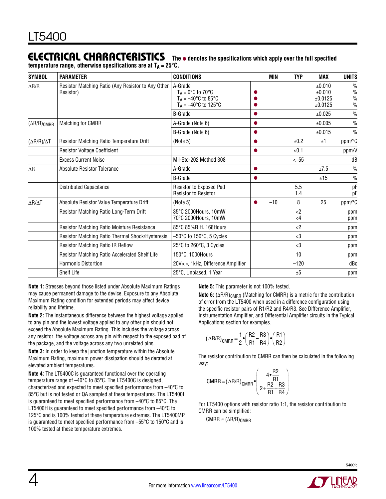#### Electrical Characteristics The  $\bullet$  denotes the specifications which apply over the full specified

temperature range, otherwise specifications are at T<sub>A</sub> = 25°C.

| <b>SYMBOL</b>           | <b>PARAMETER</b>                                                | <b>CONDITIONS</b>                                                                                        |           | <b>MIN</b> | <b>TYP</b>              | <b>MAX</b>                             | <b>UNITS</b>                          |
|-------------------------|-----------------------------------------------------------------|----------------------------------------------------------------------------------------------------------|-----------|------------|-------------------------|----------------------------------------|---------------------------------------|
| $\Delta R/R$            | Resistor Matching Ratio (Any Resistor to Any Other<br>Resistor) | A-Grade<br>$T_A = 0^\circ C$ to $70^\circ C$<br>$T_A = -40$ °C to 85°C<br>$T_A = -40^{\circ}$ C to 125°C |           |            |                         | ±0.010<br>±0.010<br>±0.0125<br>±0.0125 | $\frac{0}{0}$<br>$\%$<br>$\%$<br>$\%$ |
|                         |                                                                 | <b>B-Grade</b>                                                                                           | $\bullet$ |            |                         | ±0.025                                 | $\frac{0}{0}$                         |
| $(\Delta R/R)_{CMRR}$   | Matching for CMRR                                               | A-Grade (Note 6)                                                                                         | $\bullet$ |            |                         | ±0.005                                 | $\frac{0}{0}$                         |
|                         |                                                                 | B-Grade (Note 6)                                                                                         | $\bullet$ |            |                         | ±0.015                                 | $\frac{0}{0}$                         |
| $(\Delta R/R)/\Delta T$ | Resistor Matching Ratio Temperature Drift                       | (Note 5)                                                                                                 | $\bullet$ |            | ±0.2                    | ±1                                     | ppm/°C                                |
|                         | <b>Resistor Voltage Coefficient</b>                             |                                                                                                          | $\bullet$ |            | < 0.1                   |                                        | ppm/V                                 |
|                         | <b>Excess Current Noise</b>                                     | Mil-Std-202 Method 308                                                                                   |           |            | $<-55$                  |                                        | dB                                    |
| $\Delta \mathsf{R}$     | Absolute Resistor Tolerance                                     | A-Grade                                                                                                  | $\bullet$ |            |                         | ±7.5                                   | $\frac{0}{0}$                         |
|                         |                                                                 | <b>B-Grade</b>                                                                                           | 0         |            |                         | ±15                                    | $\frac{0}{0}$                         |
|                         | Distributed Capacitance                                         | Resistor to Exposed Pad<br><b>Resistor to Resistor</b>                                                   |           |            | 5.5<br>1.4              |                                        | pF<br>pF                              |
| $\Delta R/\Delta T$     | Absolute Resistor Value Temperature Drift                       | (Note 5)                                                                                                 | $\bullet$ | $-10$      | 8                       | 25                                     | ppm/°C                                |
|                         | Resistor Matching Ratio Long-Term Drift                         | 35°C 2000Hours, 10mW<br>70°C 2000Hours, 10mW                                                             |           |            | $\langle 2$<br>$\leq$ 4 |                                        | ppm<br>ppm                            |
|                         | Resistor Matching Ratio Moisture Resistance                     | 85°C 85%R.H. 168Hours                                                                                    |           |            | $\langle 2$             |                                        | ppm                                   |
|                         | Resistor Matching Ratio Thermal Shock/Hysteresis                | $-50^{\circ}$ C to 150 $^{\circ}$ C, 5 Cycles                                                            |           |            | $<$ 3                   |                                        | ppm                                   |
|                         | <b>Resistor Matching Ratio IR Reflow</b>                        | 25°C to 260°C, 3 Cycles                                                                                  |           |            | $3$                     |                                        | ppm                                   |
|                         | Resistor Matching Ratio Accelerated Shelf Life                  | 150°C, 1000Hours                                                                                         |           |            | 10                      |                                        | ppm                                   |
|                         | <b>Harmonic Distortion</b>                                      | 20V <sub>P-P</sub> , 1kHz, Difference Amplifier                                                          |           |            | $-120$                  |                                        | dBc                                   |
|                         | Shelf Life                                                      | 25°C, Unbiased, 1 Year                                                                                   |           |            | ±5                      |                                        | ppm                                   |

**Note 1:** Stresses beyond those listed under Absolute Maximum Ratings may cause permanent damage to the device. Exposure to any Absolute Maximum Rating condition for extended periods may affect device reliability and lifetime.

**Note 2:** The instantaneous difference between the highest voltage applied to any pin and the lowest voltage applied to any other pin should not exceed the Absolute Maximum Rating. This includes the voltage across any resistor, the voltage across any pin with respect to the exposed pad of the package, and the voltage across any two unrelated pins.

**Note 3:** In order to keep the junction temperature within the Absolute Maximum Rating, maximum power dissipation should be derated at elevated ambient temperatures.

**Note 4:** The LT5400C is guaranteed functional over the operating temperature range of –40°C to 85°C. The LT5400C is designed, characterized and expected to meet specified performance from –40°C to 85°C but is not tested or QA sampled at these temperatures. The LT5400I is guaranteed to meet specified performance from –40°C to 85°C. The LT5400H is guaranteed to meet specified performance from –40°C to 125°C and is 100% tested at these temperature extremes. The LT5400MP is guaranteed to meet specified performance from –55°C to 150°C and is 100% tested at these temperature extremes.

**Note 5:** This parameter is not 100% tested.

Note 6: (∆R/R)<sub>CMRR</sub> (Matching for CMRR) is a metric for the contribution of error from the LT5400 when used in a difference configuration using the specific resistor pairs of R1/R2 and R4/R3. See Difference Amplifier, Instrumentation Amplifier, and Differential Amplifier circuits in the Typical Applications section for examples.

$$
(\Delta R/R)_{CMRR} = \frac{1}{2} \cdot \left(\frac{R2}{R1} - \frac{R3}{R4}\right) \cdot \left(\frac{R1}{R2}\right)
$$

The resistor contribution to CMRR can then be calculated in the following way:

$$
CMRR = (\Delta R/R)_{CMRR} \cdot \left(\frac{4 \cdot \frac{R2}{R1}}{2 + \frac{R2}{R1} + \frac{R3}{R4}}\right)
$$

For LT5400 options with resistor ratio 1:1, the resistor contribution to CMRR can be simplified:

CMRR ≈ (∆R/R)CMRR

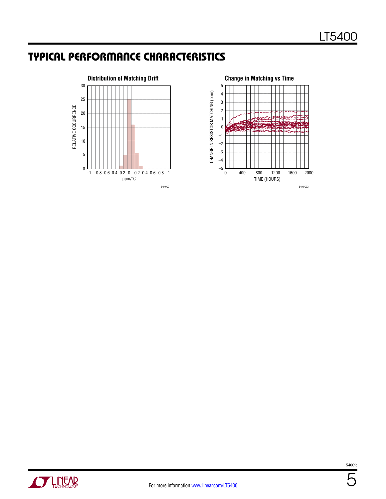# Typical Performance Characteristics







5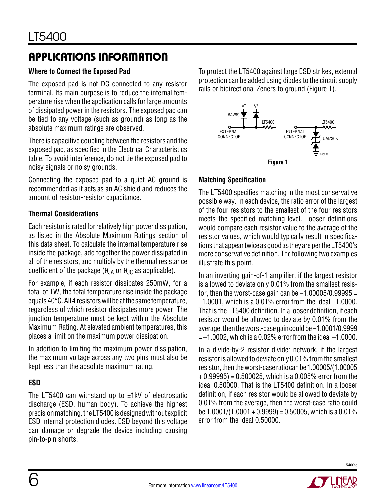# Applications Information

### **Where to Connect the Exposed Pad**

The exposed pad is not DC connected to any resistor terminal. Its main purpose is to reduce the internal temperature rise when the application calls for large amounts of dissipated power in the resistors. The exposed pad can be tied to any voltage (such as ground) as long as the absolute maximum ratings are observed.

There is capacitive coupling between the resistors and the exposed pad, as specified in the Electrical Characteristics table. To avoid interference, do not tie the exposed pad to noisy signals or noisy grounds.

Connecting the exposed pad to a quiet AC ground is recommended as it acts as an AC shield and reduces the amount of resistor-resistor capacitance.

### **Thermal Considerations**

Each resistor is rated for relatively high power dissipation, as listed in the Absolute Maximum Ratings section of this data sheet. To calculate the internal temperature rise inside the package, add together the power dissipated in all of the resistors, and multiply by the thermal resistance coefficient of the package  $(\theta)$ <sub>A</sub> or  $\theta$ <sub>JC</sub> as applicable).

For example, if each resistor dissipates 250mW, for a total of 1W, the total temperature rise inside the package equals 40°C. All 4 resistors will be at the same temperature, regardless of which resistor dissipates more power. The junction temperature must be kept within the Absolute Maximum Rating. At elevated ambient temperatures, this places a limit on the maximum power dissipation.

In addition to limiting the maximum power dissipation, the maximum voltage across any two pins must also be kept less than the absolute maximum rating.

### **ESD**

The LT5400 can withstand up to  $\pm 1kV$  of electrostatic discharge (ESD, human body). To achieve the highest precisionmatching, theLT5400isdesignedwithoutexplicit ESD internal protection diodes. ESD beyond this voltage can damage or degrade the device including causing pin-to-pin shorts.

To protect the LT5400 against large ESD strikes, external protection can be added using diodes to the circuit supply rails or bidirectional Zeners to ground (Figure 1).



### **Matching Specification**

The LT5400 specifies matching in the most conservative possible way. In each device, the ratio error of the largest of the four resistors to the smallest of the four resistors meets the specified matching level. Looser definitions would compare each resistor value to the average of the resistor values, which would typically result in specifications that appear twice as good as they are per the LT5400's more conservative definition. The following two examples illustrate this point.

In an inverting gain-of-1 amplifier, if the largest resistor is allowed to deviate only 0.01% from the smallest resistor, then the worst-case gain can be  $-1.00005/0.99995 =$ –1.0001, which is a 0.01% error from the ideal –1.0000. That is the LT5400 definition. In a looser definition, if each resistor would be allowed to deviate by 0.01% from the average, thentheworst-casegaincouldbe –1.0001/0.9999  $=-1.0002$ , which is a 0.02% error from the ideal  $-1.0000$ .

In a divide-by-2 resistor divider network, if the largest resistor is allowed to deviate only 0.01% from the smallest resistor, thentheworst-caseratiocanbe 1.00005/(1.00005  $+ 0.99995$ ) = 0.500025, which is a 0.005% error from the ideal 0.50000. That is the LT5400 definition. In a looser definition, if each resistor would be allowed to deviate by 0.01% from the average, then the worst-case ratio could be  $1.0001/(1.0001 + 0.9999) = 0.50005$ , which is a 0.01% error from the ideal 0.50000.

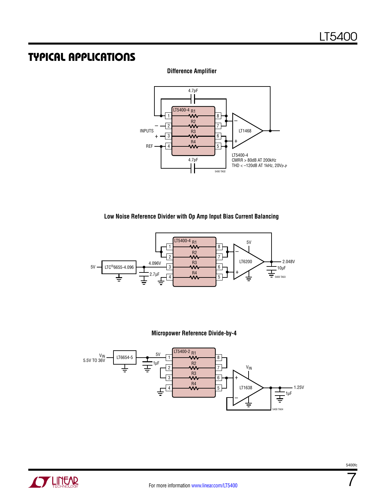### Typical Applications

### **Difference Amplifier**



#### **Low Noise Reference Divider with Op Amp Input Bias Current Balancing**



### **Micropower Reference Divide-by-4**





7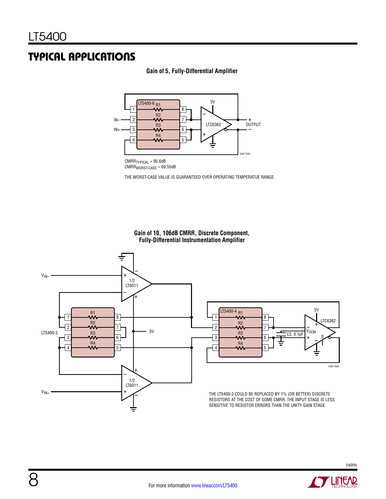### Typical Applications







THE WORST-CASE VALUE IS GUARANTEED OVER OPERATING TEMPERATUE RANGE

#### **Gain of 10, 106dB CMRR, Discrete Component, Fully-Differential Instrumentation Amplifier**





THE LT5400-3 COULD BE REPLACED BY 1% (OR BETTER) DISCRETE RESISTORS AT THE COST OF SOME CMRR. THE INPUT STAGE IS LESS SENSITIVE TO RESISTOR ERRORS THAN THE UNITY GAIN STAGE.

**STARTED BY A LITTLE ARE**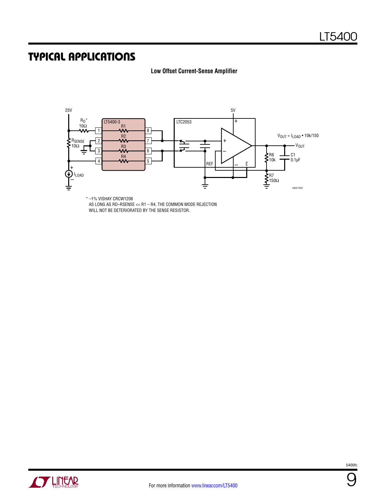### Typical Applications

### **Low Offset Current-Sense Amplifier**



\* –1% VISHAY CRCW1206 AS LONG AS RD–RSENSE << R1 – R4, THE COMMON MODE REJECTION WILL NOT BE DETERIORATED BY THE SENSE RESISTOR.



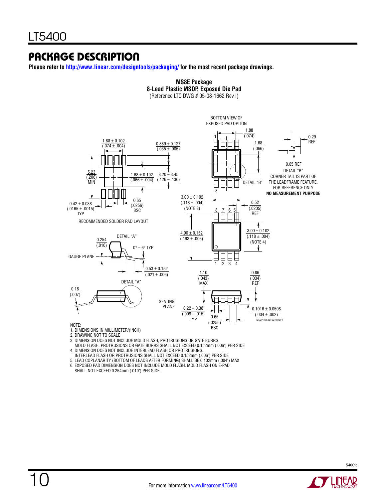### Package Description

**Please refer to http://www.linear.com/designtools/packaging/ for the most recent package drawings.**



**MS8E Package 8-Lead Plastic MSOP, Exposed Die Pad**

2. DRAWING NOT TO SCALE

3. DIMENSION DOES NOT INCLUDE MOLD FLASH, PROTRUSIONS OR GATE BURRS. MOLD FLASH, PROTRUSIONS OR GATE BURRS SHALL NOT EXCEED 0.152mm (.006") PER SIDE 4. DIMENSION DOES NOT INCLUDE INTERLEAD FLASH OR PROTRUSIONS.

 INTERLEAD FLASH OR PROTRUSIONS SHALL NOT EXCEED 0.152mm (.006") PER SIDE 5. LEAD COPLANARITY (BOTTOM OF LEADS AFTER FORMING) SHALL BE 0.102mm (.004") MAX

6. EXPOSED PAD DIMENSION DOES NOT INCLUDE MOLD FLASH. MOLD FLASH ON E-PAD

SHALL NOT EXCEED 0.254mm (.010") PER SIDE.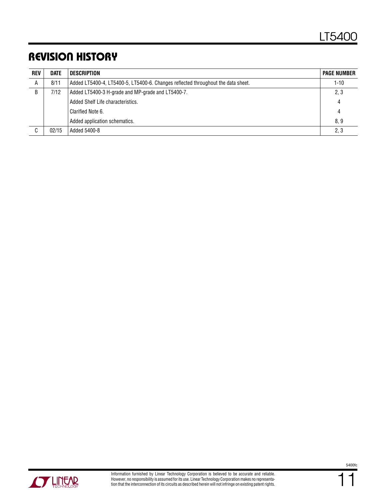# Revision History

| <b>REV</b> | <b>DATE</b> | DESCRIPTION                                                                      | <b>PAGE NUMBER</b> |
|------------|-------------|----------------------------------------------------------------------------------|--------------------|
| A          | 8/11        | Added LT5400-4, LT5400-5, LT5400-6. Changes reflected throughout the data sheet. |                    |
| B          | 7/12        | Added LT5400-3 H-grade and MP-grade and LT5400-7.<br>2, 3                        |                    |
|            |             | Added Shelf Life characteristics.                                                | 4                  |
|            |             | Clarified Note 6.                                                                | 4                  |
|            |             | Added application schematics.                                                    | 8,9                |
| C          | 02/15       | Added 5400-8                                                                     | 2, 3               |